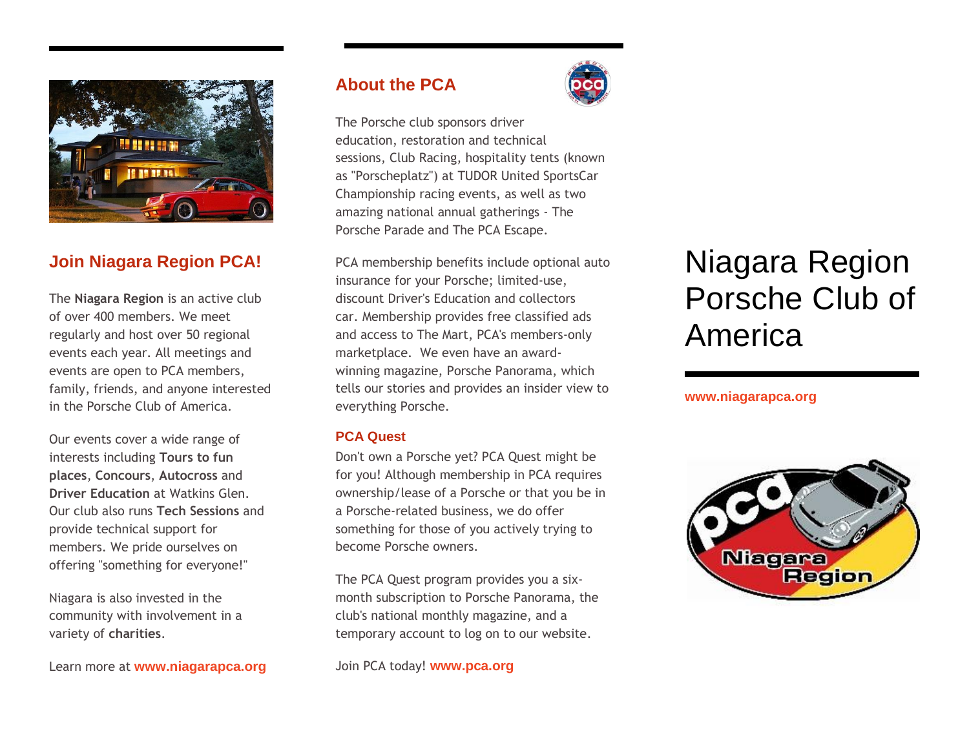

# **Join Niagara Region PCA!**

The **Niagara Region** is an active club of over 400 members. We meet regularly and host over 50 regional events each year. All meetings and events are open to PCA members, family, friends, and anyone interested in the Porsche Club of America.

Our events cover a wide range of interests including **Tours to fun places**, **Concours**, **Autocross** and **Driver Education** at Watkins Glen. Our club also runs **Tech Sessions** and provide technical support for members. We pride ourselves on offering "something for everyone!"

Niagara is also invested in the community with involvement in a variety of **charities**.

Learn more at **www.niagarapca.org**

# **About the PCA**



The Porsche club sponsors driver education, restoration and technical sessions, [Club Racing,](https://www.pca.org/club-racing) hospitality tents (known as "Porscheplatz") at TUDOR United SportsCar Championship racing events, as well as two amazing national annual gatherings - [The](https://www.pca.org/porsche-parade)  [Porsche Parade](https://www.pca.org/porsche-parade) and [The PCA Escape.](https://www.pca.org/pca-escape)

[PCA membership](https://www.pca.org/membership-benefits) [benefits](https://www.pca.org/membership-benefits) include optional [auto](https://www.pca.org/insurance-quotes)  [insurance](https://www.pca.org/insurance-quotes) for your Porsche; limited-use, discount Driver's Education and collectors car. Membership provides free classified ads and access to [The Mart,](https://www.pca.org/browse-the-mart-classified-ads) PCA's members-only marketplace. We even have an awardwinning magazine, [Porsche Panorama,](https://www.pca.org/panorama/edition/panorama-may-2014) which tells our stories and provides an insider view to everything Porsche.

#### **PCA Quest**

Don't own a Porsche yet? PCA Quest might be for you! Although membership in PCA requires ownership/lease of a Porsche or that you be in a Porsche-related business, we do offer something for those of you actively trying to become Porsche owners.

The PCA Quest program provides you a sixmonth subscription to Porsche Panorama, the club's national monthly magazine, and a temporary account to log on to our website.

#### Join PCA today! **www.pca.org**

# Niagara Region Porsche Club of America

#### **[www.niagarapca.](http://www.niagarapca/)org**